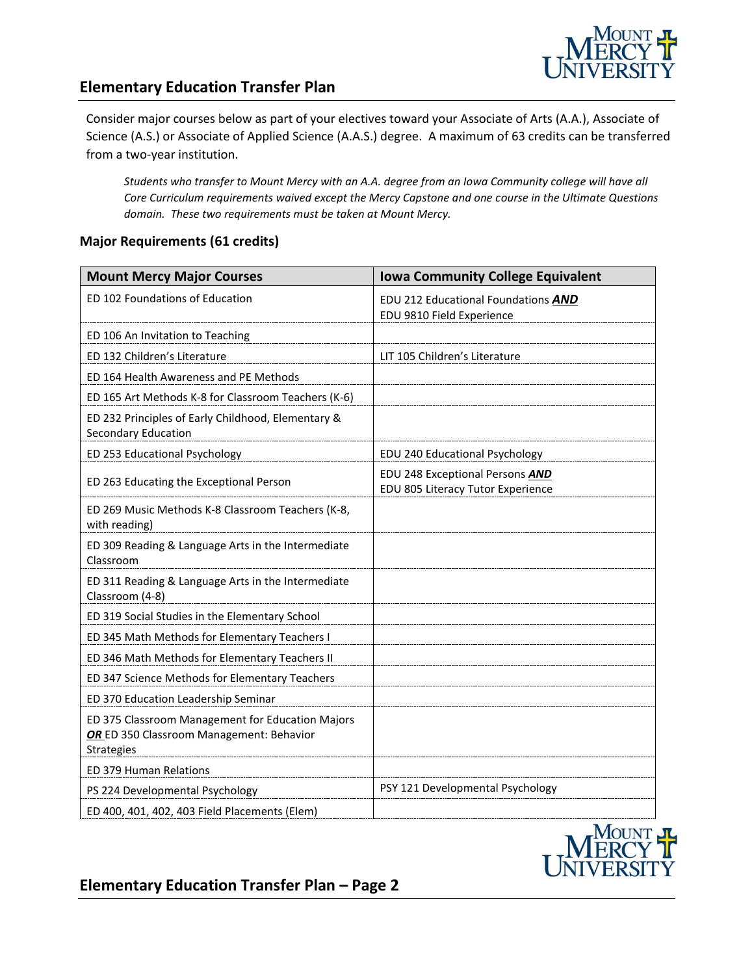

### **Elementary Education Transfer Plan**

Consider major courses below as part of your electives toward your Associate of Arts (A.A.), Associate of Science (A.S.) or Associate of Applied Science (A.A.S.) degree. A maximum of 63 credits can be transferred from a two-year institution.

*Students who transfer to Mount Mercy with an A.A. degree from an Iowa Community college will have all Core Curriculum requirements waived except the Mercy Capstone and one course in the Ultimate Questions domain. These two requirements must be taken at Mount Mercy.* 

#### **Major Requirements (61 credits)**

| <b>Mount Mercy Major Courses</b>                                                                           | <b>Iowa Community College Equivalent</b>                             |
|------------------------------------------------------------------------------------------------------------|----------------------------------------------------------------------|
| ED 102 Foundations of Education                                                                            | EDU 212 Educational Foundations AND<br>EDU 9810 Field Experience     |
| ED 106 An Invitation to Teaching                                                                           |                                                                      |
| ED 132 Children's Literature                                                                               | LIT 105 Children's Literature                                        |
| ED 164 Health Awareness and PE Methods                                                                     |                                                                      |
| ED 165 Art Methods K-8 for Classroom Teachers (K-6)                                                        |                                                                      |
| ED 232 Principles of Early Childhood, Elementary &<br>Secondary Education                                  |                                                                      |
| ED 253 Educational Psychology                                                                              | EDU 240 Educational Psychology                                       |
| ED 263 Educating the Exceptional Person                                                                    | EDU 248 Exceptional Persons AND<br>EDU 805 Literacy Tutor Experience |
| ED 269 Music Methods K-8 Classroom Teachers (K-8,<br>with reading)                                         |                                                                      |
| ED 309 Reading & Language Arts in the Intermediate<br>Classroom                                            |                                                                      |
| ED 311 Reading & Language Arts in the Intermediate<br>Classroom (4-8)                                      |                                                                      |
| ED 319 Social Studies in the Elementary School                                                             |                                                                      |
| ED 345 Math Methods for Elementary Teachers I                                                              |                                                                      |
| ED 346 Math Methods for Elementary Teachers II                                                             |                                                                      |
| ED 347 Science Methods for Elementary Teachers                                                             |                                                                      |
| ED 370 Education Leadership Seminar                                                                        |                                                                      |
| ED 375 Classroom Management for Education Majors<br>OR ED 350 Classroom Management: Behavior<br>Strategies |                                                                      |
| ED 379 Human Relations                                                                                     |                                                                      |
| PS 224 Developmental Psychology                                                                            | PSY 121 Developmental Psychology                                     |
| ED 400, 401, 402, 403 Field Placements (Elem)                                                              |                                                                      |



**Elementary Education Transfer Plan – Page 2**